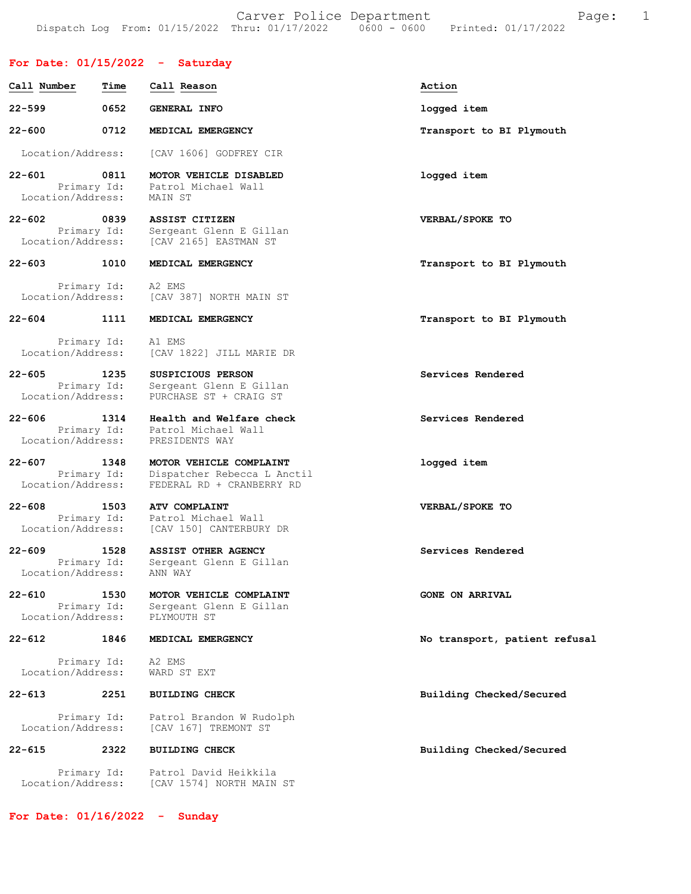## For Date: 01/15/2022 - Saturday

| Call Number                                    | Time                | Call Reason                                                                         | Action                        |
|------------------------------------------------|---------------------|-------------------------------------------------------------------------------------|-------------------------------|
| $22 - 599$                                     | 0652                | <b>GENERAL INFO</b>                                                                 | logged item                   |
| $22 - 600$                                     | 0712                | MEDICAL EMERGENCY                                                                   | Transport to BI Plymouth      |
| Location/Address:                              |                     | [CAV 1606] GODFREY CIR                                                              |                               |
| $22 - 601$<br>Location/Address:                | 0811<br>Primary Id: | MOTOR VEHICLE DISABLED<br>Patrol Michael Wall<br>MAIN ST                            | logged item                   |
| $22 - 602$<br>Location/Address:                | 0839<br>Primary Id: | ASSIST CITIZEN<br>Sergeant Glenn E Gillan<br>[CAV 2165] EASTMAN ST                  | VERBAL/SPOKE TO               |
| $22 - 603$                                     | 1010                | MEDICAL EMERGENCY                                                                   | Transport to BI Plymouth      |
| Location/Address:                              | Primary Id:         | A2 EMS<br>[CAV 387] NORTH MAIN ST                                                   |                               |
| $22 - 604$                                     | 1111                | MEDICAL EMERGENCY                                                                   | Transport to BI Plymouth      |
| Primary Id:<br>Location/Address:               |                     | A1 EMS<br>[CAV 1822] JILL MARIE DR                                                  |                               |
| $22 - 605$<br>Location/Address:                | 1235<br>Primary Id: | <b>SUSPICIOUS PERSON</b><br>Sergeant Glenn E Gillan<br>PURCHASE ST + CRAIG ST       | Services Rendered             |
| $22 - 606$<br>Location/Address:                | 1314<br>Primary Id: | Health and Welfare check<br>Patrol Michael Wall<br>PRESIDENTS WAY                   | Services Rendered             |
| $22 - 607$<br>Location/Address:                | 1348<br>Primary Id: | MOTOR VEHICLE COMPLAINT<br>Dispatcher Rebecca L Anctil<br>FEDERAL RD + CRANBERRY RD | logged item                   |
| $22 - 608$<br>Location/Address:                | 1503<br>Primary Id: | <b>ATV COMPLAINT</b><br>Patrol Michael Wall<br>[CAV 150] CANTERBURY DR              | VERBAL/SPOKE TO               |
| $22 - 609$<br>Location/Address:                | 1528<br>Primary Id: | ASSIST OTHER AGENCY<br>Sergeant Glenn E Gillan<br>ANN WAY                           | Services Rendered             |
| $22 - 610$<br>Primary Id:<br>Location/Address: | 1530                | MOTOR VEHICLE COMPLAINT<br>Sergeant Glenn E Gillan<br>PLYMOUTH ST                   | <b>GONE ON ARRIVAL</b>        |
| $22 - 612$                                     | 1846                | MEDICAL EMERGENCY                                                                   | No transport, patient refusal |
| Primary Id:<br>Location/Address:               |                     | A2 EMS<br>WARD ST EXT                                                               |                               |
| $22 - 613$                                     | 2251                | <b>BUILDING CHECK</b>                                                               | Building Checked/Secured      |
| Primary Id:<br>Location/Address:               |                     | Patrol Brandon W Rudolph<br>[CAV 167] TREMONT ST                                    |                               |
| $22 - 615$                                     | 2322                | <b>BUILDING CHECK</b>                                                               | Building Checked/Secured      |
| Primary Id:<br>Location/Address:               |                     | Patrol David Heikkila<br>[CAV 1574] NORTH MAIN ST                                   |                               |

For Date: 01/16/2022 - Sunday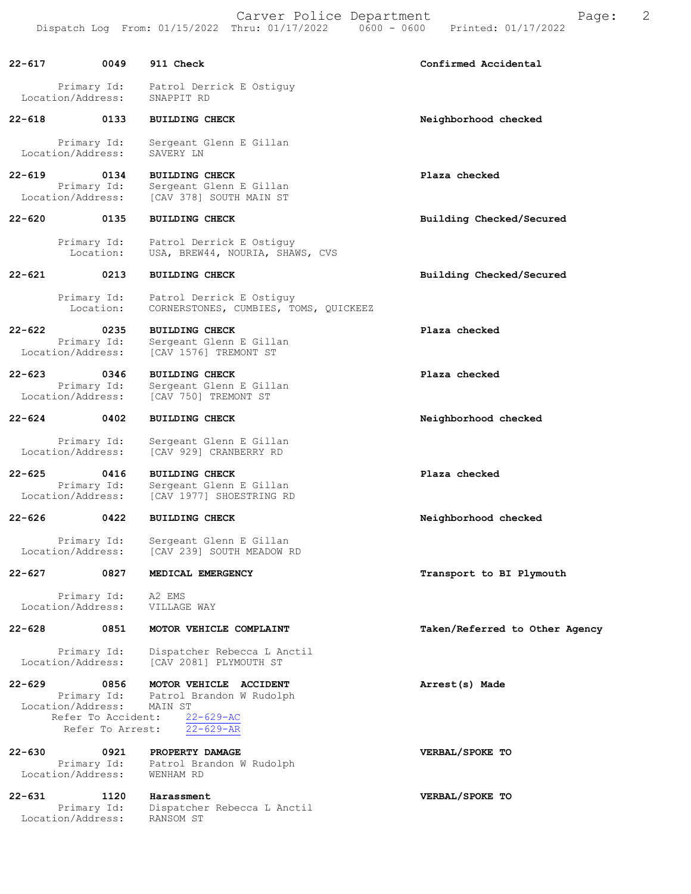Carver Police Department Fage: 2 Dispatch Log From: 01/15/2022 Thru: 01/17/2022 0600 - 0600 Printed: 01/17/2022

22-617 0049 911 Check Confirmed Accidental Primary Id: Patrol Derrick E Ostiguy Location/Address: SNAPPIT RD 22-618 0133 BUILDING CHECK Neighborhood checked Primary Id: Sergeant Glenn E Gillan<br>ion/Address: SAVERY LN Location/Address: 22-619 0134 BUILDING CHECK Plaza checked Primary Id: Sergeant Glenn E Gillan<br>Location/Address: [CAV 378] SOUTH MAIN ST [CAV 378] SOUTH MAIN ST 22-620 0135 BUILDING CHECK Building Checked/Secured Primary Id: Patrol Derrick E Ostiguy Location: USA, BREW44, NOURIA, SHAWS, CVS 22-621 0213 BUILDING CHECK Building Checked/Secured Primary Id: Patrol Derrick E Ostiguy Location: CORNERSTONES, CUMBIES, TOMS, QUICKEEZ 22-622 0235 BUILDING CHECK Plaza checked Primary Id: Sergeant Glenn E Gillan<br>Location/Address: [CAV 1576] TREMONT ST [CAV 1576] TREMONT ST 22-623 0346 BUILDING CHECK Plaza checked Primary Id: Sergeant Glenn E Gillan Location/Address: [CAV 750] TREMONT ST 22-624 0402 BUILDING CHECK Neighborhood checked Primary Id: Sergeant Glenn E Gillan<br>Location/Address: [CAV 929] CRANBERRY RD [CAV 929] CRANBERRY RD 22-625 0416 BUILDING CHECK Plaza checked Primary Id: Sergeant Glenn E Gillan<br>Location/Address: [CAV 1977] SHOESTRING RI [CAV 1977] SHOESTRING RD 22-626 0422 BUILDING CHECK Neighborhood checked Primary Id: Sergeant Glenn E Gillan<br>Location/Address: [CAV 239] SOUTH MEADOW F [CAV 239] SOUTH MEADOW RD 22-627 0827 MEDICAL EMERGENCY **Transport to BI Plymouth** Primary Id: A2 EMS<br>ion/Address: VILLAGE WAY Location/Address: 22-628 0851 MOTOR VEHICLE COMPLAINT Taken/Referred to Other Agency Primary Id: Dispatcher Rebecca L Anctil Location/Address: [CAV 2081] PLYMOUTH ST 22-629 0856 MOTOR VEHICLE ACCIDENT Annual Matest(s) Made Primary Id: Patrol Brandon W Rudolph Location/Address: MAIN ST Refer To Accident: 22-629-AC Refer To Arrest: 22-629-AR

22-630 0921 PROPERTY DAMAGE VERBAL/SPOKE TO Primary Id: Patrol Brandon W Rudolph Location/Address: WENHAM RD

22-631 1120 Harassment VERBAL/SPOKE TO Primary Id: Dispatcher Rebecca L Anctil Location/Address: RANSOM ST